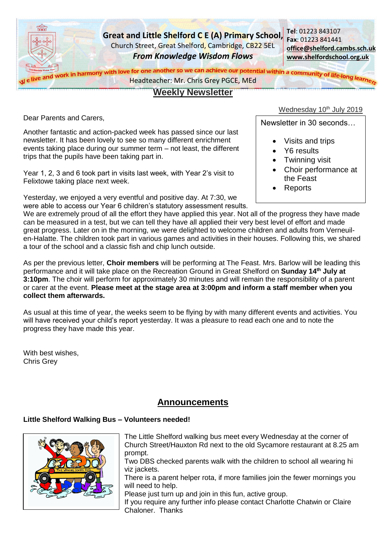

# **Weekly Newsletter**

Dear Parents and Carers,

Another fantastic and action-packed week has passed since our last newsletter. It has been lovely to see so many different enrichment events taking place during our summer term – not least, the different trips that the pupils have been taking part in.

Year 1, 2, 3 and 6 took part in visits last week, with Year 2's visit to Felixtowe taking place next week.

Yesterday, we enjoyed a very eventful and positive day. At 7:30, we were able to access our Year 6 children's statutory assessment results.

# Wednesday 10<sup>th</sup> July 2019

Newsletter in 30 seconds…

- Visits and trips
- Y6 results
- Twinning visit
- Choir performance at the Feast
- **Reports**

We are extremely proud of all the effort they have applied this year. Not all of the progress they have made can be measured in a test, but we can tell they have all applied their very best level of effort and made great progress. Later on in the morning, we were delighted to welcome children and adults from Verneuilen-Halatte. The children took part in various games and activities in their houses. Following this, we shared a tour of the school and a classic fish and chip lunch outside.

As per the previous letter, **Choir members** will be performing at The Feast. Mrs. Barlow will be leading this performance and it will take place on the Recreation Ground in Great Shelford on **Sunday 14th July at 3:10pm**. The choir will perform for approximately 30 minutes and will remain the responsibility of a parent or carer at the event. **Please meet at the stage area at 3:00pm and inform a staff member when you collect them afterwards.**

As usual at this time of year, the weeks seem to be flying by with many different events and activities. You will have received your child's report yesterday. It was a pleasure to read each one and to note the progress they have made this year.

With best wishes, Chris Grey

# **Announcements**

# **Little Shelford Walking Bus – Volunteers needed!**



The Little Shelford walking bus meet every Wednesday at the corner of Church Street/Hauxton Rd next to the old Sycamore restaurant at 8.25 am prompt.

Two DBS checked parents walk with the children to school all wearing hi viz jackets.

There is a parent helper rota, if more families join the fewer mornings you will need to help.

Please just turn up and join in this fun, active group.

If you require any further info please contact Charlotte Chatwin or Claire Chaloner. Thanks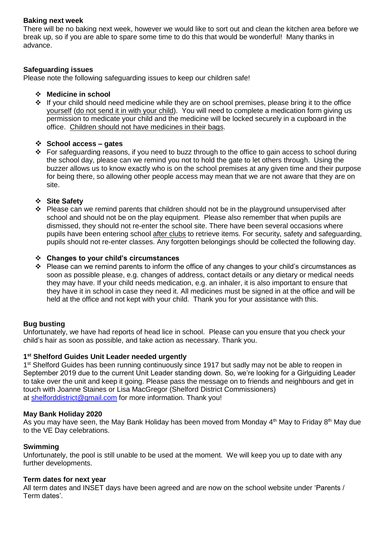## **Baking next week**

There will be no baking next week, however we would like to sort out and clean the kitchen area before we break up, so if you are able to spare some time to do this that would be wonderful! Many thanks in advance.

## **Safeguarding issues**

Please note the following safeguarding issues to keep our children safe!

#### **Medicine in school**

\* If your child should need medicine while they are on school premises, please bring it to the office yourself (do not send it in with your child). You will need to complete a medication form giving us permission to medicate your child and the medicine will be locked securely in a cupboard in the office. Children should not have medicines in their bags.

#### **School access – gates**

\* For safeguarding reasons, if you need to buzz through to the office to gain access to school during the school day, please can we remind you not to hold the gate to let others through. Using the buzzer allows us to know exactly who is on the school premises at any given time and their purpose for being there, so allowing other people access may mean that we are not aware that they are on site.

#### **Site Safety**

 Please can we remind parents that children should not be in the playground unsupervised after school and should not be on the play equipment. Please also remember that when pupils are dismissed, they should not re-enter the school site. There have been several occasions where pupils have been entering school after clubs to retrieve items. For security, safety and safeguarding, pupils should not re-enter classes. Any forgotten belongings should be collected the following day.

#### **Changes to your child's circumstances**

\* Please can we remind parents to inform the office of any changes to your child's circumstances as soon as possible please, e.g. changes of address, contact details or any dietary or medical needs they may have. If your child needs medication, e.g. an inhaler, it is also important to ensure that they have it in school in case they need it. All medicines must be signed in at the office and will be held at the office and not kept with your child. Thank you for your assistance with this.

## **Bug busting**

Unfortunately, we have had reports of head lice in school. Please can you ensure that you check your child's hair as soon as possible, and take action as necessary. Thank you.

#### **1 st Shelford Guides Unit Leader needed urgently**

1<sup>st</sup> Shelford Guides has been running continuously since 1917 but sadly may not be able to reopen in September 2019 due to the current Unit Leader standing down. So, we're looking for a Girlguiding Leader to take over the unit and keep it going. Please pass the message on to friends and neighbours and get in touch with Joanne Staines or Lisa MacGregor (Shelford District Commissioners) at [shelforddistrict@gmail.com](mailto:shelforddistrict@gmail.com) for more information. Thank you!

#### **May Bank Holiday 2020**

As you may have seen, the May Bank Holiday has been moved from Monday  $4<sup>th</sup>$  May to Friday  $8<sup>th</sup>$  May due to the VE Day celebrations.

#### **Swimming**

Unfortunately, the pool is still unable to be used at the moment. We will keep you up to date with any further developments.

#### **Term dates for next year**

All term dates and INSET days have been agreed and are now on the school website under 'Parents / Term dates'.